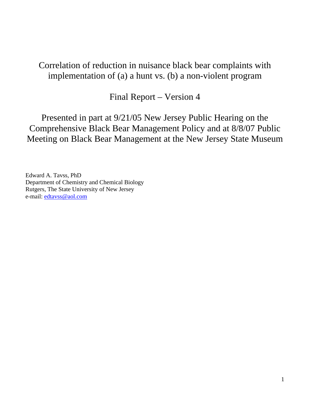# Correlation of reduction in nuisance black bear complaints with implementation of (a) a hunt vs. (b) a non-violent program

Final Report – Version 4

Presented in part at 9/21/05 New Jersey Public Hearing on the Comprehensive Black Bear Management Policy and at 8/8/07 Public Meeting on Black Bear Management at the New Jersey State Museum

Edward A. Tavss, PhD Department of Chemistry and Chemical Biology Rutgers, The State University of New Jersey e-mail: edtavss@aol.com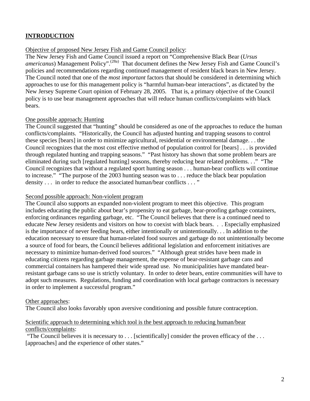## **INTRODUCTION**

#### Objective of proposed New Jersey Fish and Game Council policy:

The New Jersey Fish and Game Council issued a report on "Comprehensive Black Bear (*Ursus*  americanus) Management Policy".<sup>(28a)</sup> That document defines the New Jersey Fish and Game Council's policies and recommendations regarding continued management of resident black bears in New Jersey. The Council noted that one of the *most important* factors that should be considered in determining which approaches to use for this management policy is "harmful human-bear interactions", as dictated by the New Jersey Supreme Court opinion of February 28, 2005. That is, a primary objective of the Council policy is to use bear management approaches that will reduce human conflicts/complaints with black bears.

#### One possible approach: Hunting

The Council suggested that "hunting" should be considered as one of the approaches to reduce the human conflicts/complaints. "Historically, the Council has adjusted hunting and trapping seasons to control these species [bears] in order to minimize agricultural, residential or environmental damage. . . the Council recognizes that the most cost effective method of population control for [bears] . . . is provided through regulated hunting and trapping seasons." "Past history has shown that some problem bears are eliminated during such [regulated hunting] seasons, thereby reducing bear related problems. . ." "The Council recognizes that without a regulated sport hunting season . . . human-bear conflicts will continue to increase." "The purpose of the 2003 hunting season was to . . . reduce the black bear population density . . . in order to reduce the associated human/bear conflicts . . . "

#### Second possible approach: Non-violent program

The Council also supports an expanded non-violent program to meet this objective. This program includes educating the public about bear's propensity to eat garbage, bear-proofing garbage containers, enforcing ordinances regarding garbage, etc. "The Council believes that there is a continued need to educate New Jersey residents and visitors on how to coexist with black bears. . . Especially emphasized is the importance of never feeding bears, either intentionally or unintentionally. . . In addition to the education necessary to ensure that human-related food sources and garbage do not unintentionally become a source of food for bears, the Council believes additional legislation and enforcement initiatives are necessary to minimize human-derived food sources." "Although great strides have been made in educating citizens regarding garbage management, the expense of bear-resistant garbage cans and commercial containers has hampered their wide spread use. No municipalities have mandated bearresistant garbage cans so use is strictly voluntary. In order to deter bears, entire communities will have to adopt such measures. Regulations, funding and coordination with local garbage contractors is necessary in order to implement a successful program."

#### Other approaches:

The Council also looks favorably upon aversive conditioning and possible future contraception.

#### Scientific approach to determining which tool is the best approach to reducing human/bear conflicts/complaints:

"The Council believes it is necessary to . . . [scientifically] consider the proven efficacy of the . . . [approaches] and the experience of other states."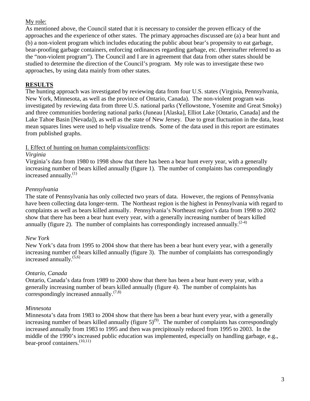### My role:

As mentioned above, the Council stated that it is necessary to consider the proven efficacy of the approaches and the experience of other states. The primary approaches discussed are (a) a bear hunt and (b) a non-violent program which includes educating the public about bear's propensity to eat garbage, bear-proofing garbage containers, enforcing ordinances regarding garbage, etc. (hereinafter referred to as the "non-violent program"). The Council and I are in agreement that data from other states should be studied to determine the direction of the Council's program. My role was to investigate these two approaches, by using data mainly from other states.

### **RESULTS**

The hunting approach was investigated by reviewing data from four U.S. states (Virginia, Pennsylvania, New York, Minnesota, as well as the province of Ontario, Canada). The non-violent program was investigated by reviewing data from three U.S. national parks (Yellowstone, Yosemite and Great Smoky) and three communities bordering national parks (Juneau [Alaska], Elliot Lake [Ontario, Canada] and the Lake Tahoe Basin [Nevada]), as well as the state of New Jersey. Due to great fluctuation in the data, least mean squares lines were used to help visualize trends. Some of the data used in this report are estimates from published graphs.

### I. Effect of hunting on human complaints/conflicts:

### *Virginia*

Virginia's data from 1980 to 1998 show that there has been a bear hunt every year, with a generally increasing number of bears killed annually (figure 1). The number of complaints has correspondingly increased annually.<sup>(1)</sup>

### *Pennsylvania*

The state of Pennsylvania has only collected two years of data. However, the regions of Pennsylvania have been collecting data longer-term. The Northeast region is the highest in Pennsylvania with regard to complaints as well as bears killed annually. Pennsylvania's Northeast region's data from 1998 to 2002 show that there has been a bear hunt every year, with a generally increasing number of bears killed annually (figure 2). The number of complaints has correspondingly increased annually.<sup> $(2-4)$ </sup>

### *New York*

New York's data from 1995 to 2004 show that there has been a bear hunt every year, with a generally increasing number of bears killed annually (figure 3). The number of complaints has correspondingly increased annually. (5,6)

## *Ontario, Canada*

Ontario, Canada's data from 1989 to 2000 show that there has been a bear hunt every year, with a generally increasing number of bears killed annually (figure 4). The number of complaints has correspondingly increased annually. $(7,8)$ 

### *Minnesota*

Minnesota's data from 1983 to 2004 show that there has been a bear hunt every year, with a generally increasing number of bears killed annually (figure  $5)^{(9)}$ . The number of complaints has correspondingly increased annually from 1983 to 1995 and then was precipitously reduced from 1995 to 2003. In the middle of the 1990's increased public education was implemented, especially on handling garbage, e.g., bear-proof containers.<sup>(10,11)</sup>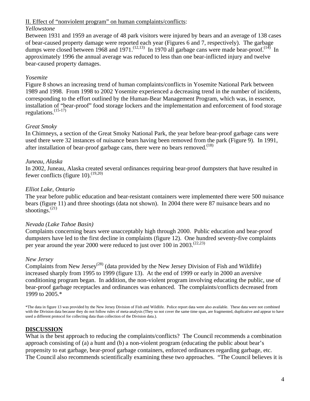#### II. Effect of "nonviolent program" on human complaints/conflicts:

#### *Yellowstone*

Between 1931 and 1959 an average of 48 park visitors were injured by bears and an average of 138 cases of bear-caused property damage were reported each year (Figures 6 and 7, respectively). The garbage dumps were closed between 1968 and 1971.<sup>(12,13)</sup> In 1970 all garbage cans were made bear-proof.<sup>(14)</sup> In approximately 1996 the annual average was reduced to less than one bear-inflicted injury and twelve bear-caused property damages.

### *Yosemite*

Figure 8 shows an increasing trend of human complaints/conflicts in Yosemite National Park between 1989 and 1998. From 1998 to 2002 Yosemite experienced a decreasing trend in the number of incidents, corresponding to the effort outlined by the Human-Bear Management Program, which was, in essence, installation of "bear-proof" food storage lockers and the implementation and enforcement of food storage regulations. $(15-17)$ 

### *Great Smoky*

In Chimneys, a section of the Great Smoky National Park, the year before bear-proof garbage cans were used there were 32 instances of nuisance bears having been removed from the park (Figure 9). In 1991, after installation of bear-proof garbage cans, there were no bears removed.<sup> $(18)$ </sup>

### *Juneau, Alaska*

In 2002, Juneau, Alaska created several ordinances requiring bear-proof dumpsters that have resulted in fewer conflicts (figure 10).<sup> $(19,20)$ </sup>

### *Elliot Lake, Ontario*

The year before public education and bear-resistant containers were implemented there were 500 nuisance bears (figure 11) and three shootings (data not shown). In 2004 there were 87 nuisance bears and no shootings. $^{(21)}$ 

### *Nevada (Lake Tahoe Basin)*

Complaints concerning bears were unacceptably high through 2000. Public education and bear-proof dumpsters have led to the first decline in complaints (figure 12). One hundred seventy-five complaints per year around the year 2000 were reduced to just over 100 in  $2003$ .<sup>(22,23)</sup>

### *New Jersey*

Complaints from New Jersey<sup>(28)</sup> (data provided by the New Jersey Division of Fish and Wildlife) increased sharply from 1995 to 1999 (figure 13). At the end of 1999 or early in 2000 an aversive conditioning program began. In addition, the non-violent program involving educating the public, use of bear-proof garbage receptacles and ordinances was enhanced. The complaints/conflicts decreased from 1999 to 2005.\*

\*The data in figure 13 was provided by the New Jersey Division of Fish and Wildlife. Police report data were also available. These data were not combined with the Division data because they do not follow rules of meta-analysis (They so not cover the same time span, are fragmented, duplicative and appear to have used a different protocol for collecting data than collection of the Division data.).

## **DISCUSSION**

What is the best approach to reducing the complaints/conflicts? The Council recommends a combination approach consisting of (a) a hunt and (b) a non-violent program (educating the public about bear's propensity to eat garbage, bear-proof garbage containers, enforced ordinances regarding garbage, etc. The Council also recommends scientifically examining these two approaches. "The Council believes it is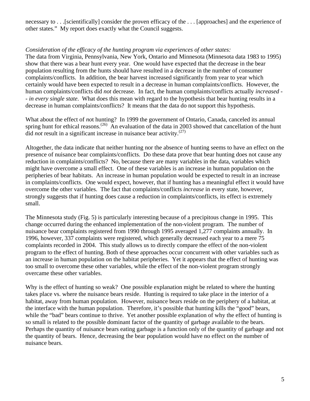necessary to . . .[scientifically] consider the proven efficacy of the . . . [approaches] and the experience of other states." My report does exactly what the Council suggests.

### *Consideration of the efficacy of the hunting program via experiences of other states:*

The data from Virginia, Pennsylvania, New York, Ontario and Minnesota (Minnesota data 1983 to 1995) show that there was a bear hunt every year. One would have expected that the decrease in the bear population resulting from the hunts should have resulted in a decrease in the number of consumer complaints/conflicts. In addition, the bear harvest increased significantly from year to year which certainly would have been expected to result in a decrease in human complaints/conflicts. However, the human complaints/conflicts did *not* decrease. In fact, the human complaints/conflicts actually *increased - - in every single state*. What does this mean with regard to the hypothesis that bear hunting results in a decrease in human complaints/conflicts? It means that the data do not support this hypothesis.

What about the effect of *no*t hunting? In 1999 the government of Ontario, Canada, canceled its annual spring hunt for ethical reasons.<sup>(26)</sup> An evaluation of the data in 2003 showed that cancellation of the hunt  $\overline{d}$  *id not* result in a significant increase in nuisance bear activity.<sup>(27)</sup>

Altogether, the data indicate that neither hunting nor the absence of hunting seems to have an effect on the presence of nuisance bear complaints/conflicts. Do these data prove that bear hunting does not cause any reduction in complaints/conflicts? No, because there are many variables in the data, variables which might have overcome a small effect. One of these variables is an increase in human population on the peripheries of bear habitats. An increase in human population would be expected to result in an increase in complaints/conflicts. One would expect, however, that if hunting has a meaningful effect it would have overcome the other variables. The fact that complaints/conflicts *increase* in every state, however, strongly suggests that if hunting does cause a reduction in complaints/conflicts, its effect is extremely small.

The Minnesota study (Fig. 5) is particularly interesting because of a precipitous change in 1995. This change occurred during the enhanced implementation of the non-violent program. The number of nuisance bear complaints registered from 1990 through 1995 averaged 1,277 complaints annually. In 1996, however, 337 complaints were registered, which generally decreased each year to a mere 75 complaints recorded in 2004. This study allows us to directly compare the effect of the non-violent program to the effect of hunting. Both of these approaches occur concurrent with other variables such as an increase in human population on the habitat peripheries. Yet it appears that the effect of hunting was too small to overcome these other variables, while the effect of the non-violent program strongly overcame these other variables.

Why is the effect of hunting so weak? One possible explanation might be related to where the hunting takes place vs. where the nuisance bears reside. Hunting is required to take place in the interior of a habitat, away from human population. However, nuisance bears reside on the periphery of a habitat, at the interface with the human population. Therefore, it's possible that hunting kills the "good" bears, while the "bad" bears continue to thrive. Yet another possible explanation of why the effect of hunting is so small is related to the possible dominant factor of the quantity of garbage available to the bears. Perhaps the quantity of nuisance bears eating garbage is a function only of the quantity of garbage and not the quantity of bears. Hence, decreasing the bear population would have no effect on the number of nuisance bears.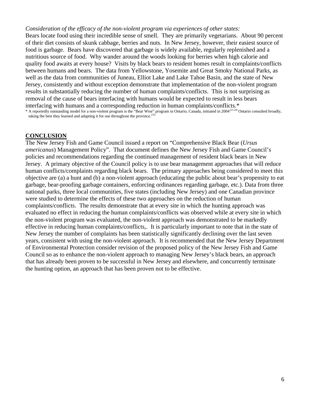#### *Consideration of the efficacy of the non-violent program via experiences of other states:*

Bears locate food using their incredible sense of smell. They are primarily vegetarians. About 90 percent of their diet consists of skunk cabbage, berries and nuts. In New Jersey, however, their easiest source of food is garbage. Bears have discovered that garbage is widely available, regularly replenished and a nutritious source of food. Why wander around the woods looking for berries when high calorie and quality food awaits at every house? Visits by black bears to resident homes result in complaints/conflicts between humans and bears. The data from Yellowstone, Yosemite and Great Smoky National Parks, as well as the data from communities of Juneau, Elliot Lake and Lake Tahoe Basin, and the state of New Jersey, consistently and without exception demonstrate that implementation of the non-violent program results in substantially reducing the number of human complaints/conflicts. This is not surprising as removal of the cause of bears interfacing with humans would be expected to result in less bears interfacing with humans and a corresponding reduction in human complaints/conflicts.\*

 $*$  A reportedly outstanding model for a non-violent program is the "Bear Wise" program in Ontario, Canada, initiated in 2004<sup>(21,24)</sup> Ontario consulted broadly, taking the best they learned and adapting it for use throughout the province.<sup>(25)</sup>

#### **CONCLUSION**

The New Jersey Fish and Game Council issued a report on "Comprehensive Black Bear (*Ursus americanus*) Management Policy". That document defines the New Jersey Fish and Game Council's policies and recommendations regarding the continued management of resident black bears in New Jersey. A primary objective of the Council policy is to use bear management approaches that will reduce human conflicts/complaints regarding black bears. The primary approaches being considered to meet this objective are (a) a hunt and (b) a non-violent approach (educating the public about bear's propensity to eat garbage, bear-proofing garbage containers, enforcing ordinances regarding garbage, etc.). Data from three national parks, three local communities, five states (including New Jersey) and one Canadian province were studied to determine the effects of these two approaches on the reduction of human complaints/conflicts. The results demonstrate that at every site in which the hunting approach was evaluated no effect in reducing the human complaints/conflicts was observed while at every site in which the non-violent program was evaluated, the non-violent approach was demonstrated to be markedly effective in reducing human complaints/conflicts,. It is particularly important to note that in the state of New Jersey the number of complaints has been statistically significantly declining over the last seven years, consistent with using the non-violent approach. It is recommended that the New Jersey Department of Environmental Protection consider revision of the proposed policy of the New Jersey Fish and Game Council so as to enhance the non-violent approach to managing New Jersey's black bears, an approach that has already been proven to be successful in New Jersey and elsewhere, and concurrently terminate the hunting option, an approach that has been proven not to be effective.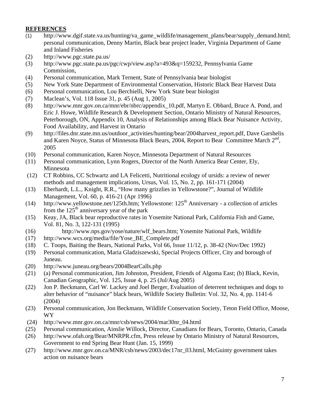### **REFERENCES**

- (1) http://www.dgif.state.va.us/hunting/va\_game\_wildlife/management\_plans/bear/supply\_demand.html; personal communication, Denny Martin, Black bear project leader, Virginia Department of Game and Inland Fisheries
- (2) http://www.pgc.state.pa.us/
- (3) http://www.pgc.state.pa.us/pgc/cwp/view.asp?a=493&q=159232, Pennsylvania Game Commission,
- (4) Personal communication, Mark Ternent, State of Pennsylvania bear biologist
- (5) New York State Department of Environmental Conservation, Historic Black Bear Harvest Data
- (6) Personal communication, Lou Berchielli, New York State bear biologist
- (7) Maclean's, Vol. 118 Issue 31, p. 45 (Aug 1, 2005)
- (8) http://www.mnr.gov.on.ca/mnr/ebr/nbrc/appendix\_10.pdf, Martyn E. Obbard, Bruce A. Pond, and Eric J. Howe, Wildlife Research & Development Section, Ontario Ministry of Natural Resources, Peterborough, ON, Appendix 10, Analysis of Relationships among Black Bear Nuisance Activity, Food Availability, and Harvest in Ontario
- (9) http://files.dnr.state.mn.us/outdoor\_activities/hunting/bear/2004harvest\_report.pdf, Dave Garshelis and Karen Noyce, Status of Minnesota Black Bears, 2004, Report to Bear Committee March 2<sup>nd</sup>, 2005
- (10) Personal communication, Karen Noyce, Minnesota Department of Natural Resources
- (11) Personal communication, Lynn Rogers, Director of the North America Bear Center, Ely, Minnesota
- (12) CT Robbins, CC Schwartz and LA Felicetti, Nutritional ecology of ursids: a review of newer methods and management implications, Ursus, Vol. 15, No. 2, pp. 161-171 (2004)
- (13) Eberhardt, L.L., Knight, R.R., "How many grizzlies in Yellowstone?", Journal of Wildlife Management, Vol. 60, p. 416-21 (Apr 1996)
- (14) http://www.yellowstone.net/125th.htm; Yellowstone: 125th Anniversary a collection of articles from the  $125<sup>th</sup>$  anniversary year of the park
- (15) Keay, JA, Black bear reproductive rates in Yosemite National Park, California Fish and Game, Vol. 81, No. 3, 122-131 (1995)
- (16) http://www.nps.gov/yose/nature/wlf\_bears.htm; Yosemite National Park, Wildlife
- (17) http://www.wcs.org/media/file/Yose\_BE\_Complete.pdf
- (18) C. Toops, Baiting the Bears, National Parks, Vol 66, Issue 11/12, p. 38-42 (Nov/Dec 1992)
- (19) Personal communication, Maria Gladziszewski, Special Projects Officer, City and borough of Juneau.
- (20) http://www.juneau.org/bears/2004BearCalls.php
- (21) (a) Personal communication, Jim Johnston, President, Friends of Algoma East; (b) Black, Kevin, Canadian Geographic, Vol. 125, Issue 4, p. 25 (Jul/Aug 2005)
- (22) Jon P. Beckmann, Carl W. Lackey and Joel Berger, Evaluation of deterrent techniques and dogs to alter behavior of "nuisance" black bears, Wildlife Society Bulletin: Vol. 32, No. 4, pp. 1141-6 (2004)
- (23) Personal communication, Jon Beckmann, Wildlife Conservation Society, Teton Field Office, Moose, WY
- (24) http://www.mnr.gov.on.ca/mnr/csb/news/2004/mar30nr\_04.html
- (25) Personal communication, Ainslie Willock, Director, Canadians for Bears, Toronto, Ontario, Canada
- (26) http://www.ofah.org/Bear/MNRPR.cfm, Press release by Ontario Ministry of Natural Resources, Government to end Spring Bear Hunt (Jan. 15, 1999)
- (27) http://www.mnr.gov.on.ca/MNR/csb/news/2003/dec17nr\_03.html, McGuinty government takes action on nuisance bears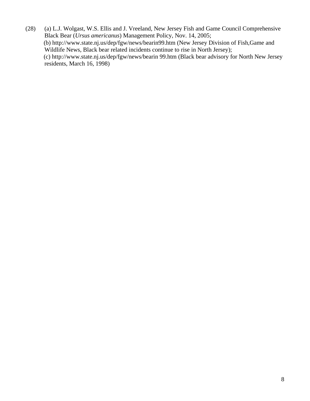(28) (a) L.J. Wolgast, W.S. Ellis and J. Vreeland, New Jersey Fish and Game Council Comprehensive Black Bear (*Ursus americanus*) Management Policy, Nov. 14, 2005; (b) http://www.state.nj.us/dep/fgw/news/bearin99.htm (New Jersey Division of Fish,Game and Wildlife News, Black bear related incidents continue to rise in North Jersey); (c) http://www.state.nj.us/dep/fgw/news/bearin 99.htm (Black bear advisory for North New Jersey residents, March 16, 1998)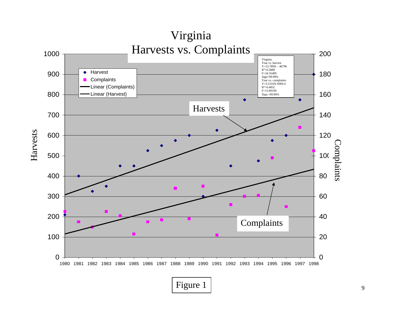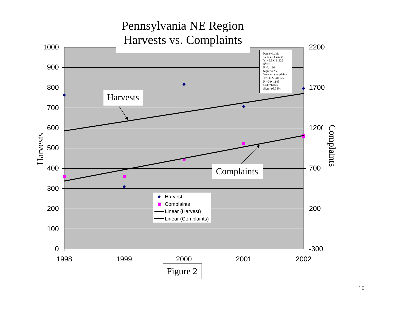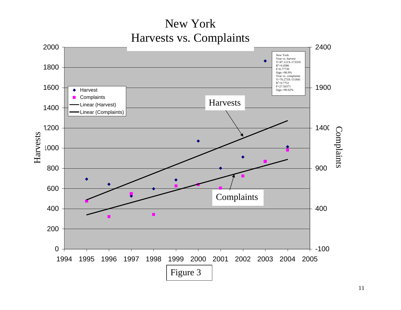New York Harvests vs. Complaints

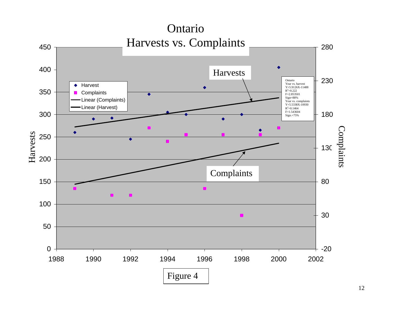

12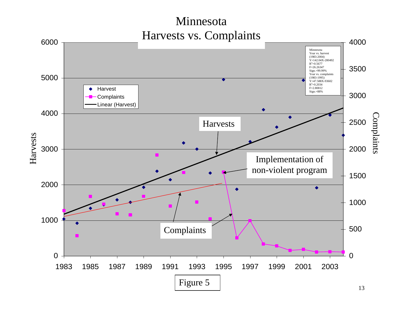# Minnesota Harvests vs. Complaints

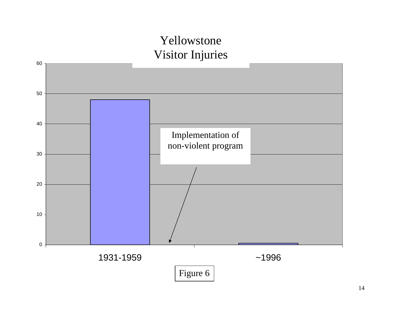# Yellowstone Visitor Injuries

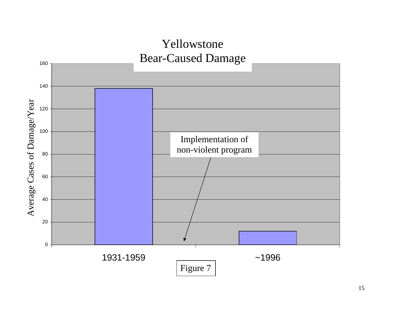# Yellowstone Bear -Caused Damage 160 140 Average Cases of Damage/Year Average Cases of Damage/Year 120 100 Implementation of non -violent program 80 60 40 20  $0$ 1931-1959 — 1996 Figure 7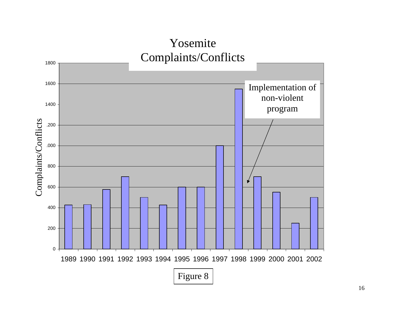# Yosemite Complaints/Conflicts

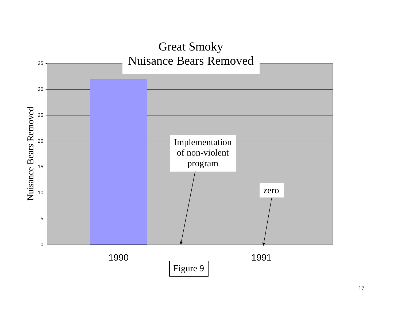

17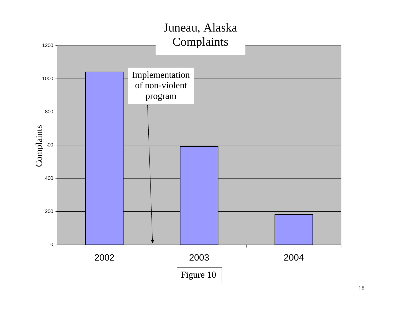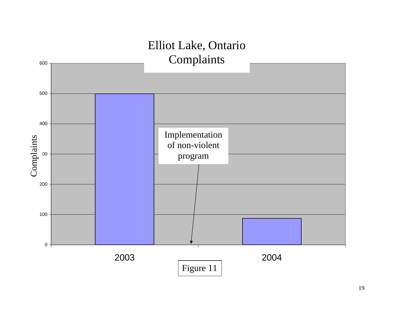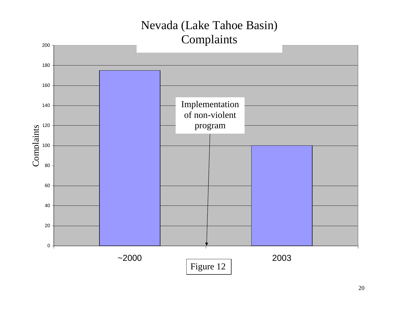# Nevada (Lake Tahoe Basin) Complaints